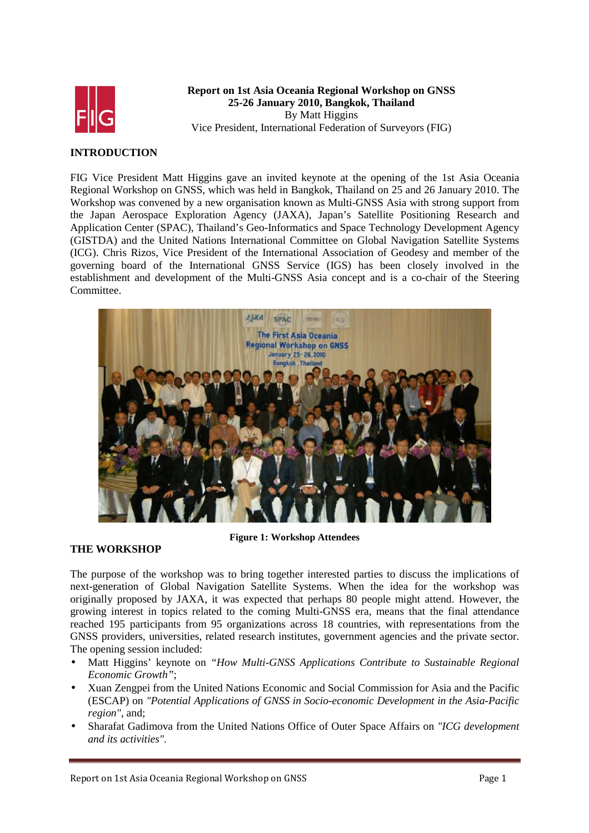

## **Report on 1st Asia Oceania Regional Workshop on GNSS 25-26 January 2010, Bangkok, Thailand**  By Matt Higgins Vice President, International Federation of Surveyors (FIG)

## **INTRODUCTION**

FIG Vice President Matt Higgins gave an invited keynote at the opening of the 1st Asia Oceania Regional Workshop on GNSS, which was held in Bangkok, Thailand on 25 and 26 January 2010. The Workshop was convened by a new organisation known as Multi-GNSS Asia with strong support from the Japan Aerospace Exploration Agency (JAXA), Japan's Satellite Positioning Research and Application Center (SPAC), Thailand's Geo-Informatics and Space Technology Development Agency (GISTDA) and the United Nations International Committee on Global Navigation Satellite Systems (ICG). Chris Rizos, Vice President of the International Association of Geodesy and member of the governing board of the International GNSS Service (IGS) has been closely involved in the establishment and development of the Multi-GNSS Asia concept and is a co-chair of the Steering Committee.



## **THE WORKSHOP**

**Figure 1: Workshop Attendees**

The purpose of the workshop was to bring together interested parties to discuss the implications of next-generation of Global Navigation Satellite Systems. When the idea for the workshop was originally proposed by JAXA, it was expected that perhaps 80 people might attend. However, the growing interest in topics related to the coming Multi-GNSS era, means that the final attendance reached 195 participants from 95 organizations across 18 countries, with representations from the GNSS providers, universities, related research institutes, government agencies and the private sector. The opening session included:

- Matt Higgins' keynote on *"How Multi-GNSS Applications Contribute to Sustainable Regional Economic Growth"*;
- Xuan Zengpei from the United Nations Economic and Social Commission for Asia and the Pacific (ESCAP) on *"Potential Applications of GNSS in Socio-economic Development in the Asia-Pacific region"*, and;
- Sharafat Gadimova from the United Nations Office of Outer Space Affairs on *"ICG development and its activities"*.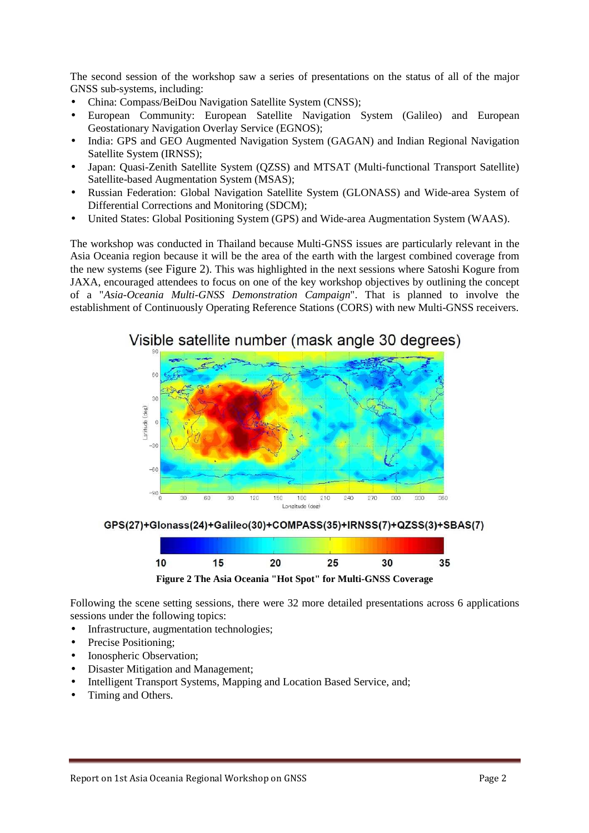The second session of the workshop saw a series of presentations on the status of all of the major GNSS sub-systems, including:

- China: Compass/BeiDou Navigation Satellite System (CNSS);
- European Community: European Satellite Navigation System (Galileo) and European Geostationary Navigation Overlay Service (EGNOS);
- India: GPS and GEO Augmented Navigation System (GAGAN) and Indian Regional Navigation Satellite System (IRNSS);
- Japan: Quasi-Zenith Satellite System (QZSS) and MTSAT (Multi-functional Transport Satellite) Satellite-based Augmentation System (MSAS);
- Russian Federation: Global Navigation Satellite System (GLONASS) and Wide-area System of Differential Corrections and Monitoring (SDCM);
- United States: Global Positioning System (GPS) and Wide-area Augmentation System (WAAS).

The workshop was conducted in Thailand because Multi-GNSS issues are particularly relevant in the Asia Oceania region because it will be the area of the earth with the largest combined coverage from the new systems (see Figure 2). This was highlighted in the next sessions where Satoshi Kogure from JAXA, encouraged attendees to focus on one of the key workshop objectives by outlining the concept of a "*Asia-Oceania Multi-GNSS Demonstration Campaign*". That is planned to involve the establishment of Continuously Operating Reference Stations (CORS) with new Multi-GNSS receivers.



GPS(27)+Glonass(24)+Galileo(30)+COMPASS(35)+IRNSS(7)+QZSS(3)+SBAS(7)



**Figure 2 The Asia Oceania "Hot Spot" for Multi-GNSS Coverage**

Following the scene setting sessions, there were 32 more detailed presentations across 6 applications sessions under the following topics:

- Infrastructure, augmentation technologies;
- Precise Positioning;
- Ionospheric Observation;
- Disaster Mitigation and Management;
- Intelligent Transport Systems, Mapping and Location Based Service, and;
- Timing and Others.